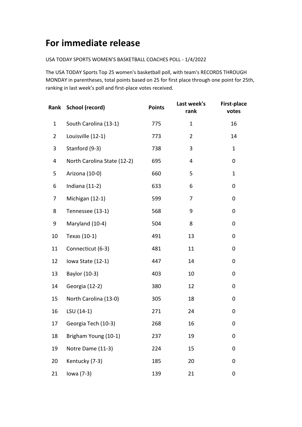## **For immediate release**

## USA TODAY SPORTS WOMEN'S BASKETBALL COACHES POLL - 1/4/2022

The USA TODAY Sports Top 25 women's basketball poll, with team's RECORDS THROUGH MONDAY in parentheses, total points based on 25 for first place through one point for 25th, ranking in last week's poll and first-place votes received.

|                | Rank School (record)        | <b>Points</b> | Last week's<br>rank | <b>First-place</b><br>votes |
|----------------|-----------------------------|---------------|---------------------|-----------------------------|
| $\mathbf{1}$   | South Carolina (13-1)       | 775           | $\mathbf{1}$        | 16                          |
| $\overline{2}$ | Louisville (12-1)           | 773           | $\overline{2}$      | 14                          |
| 3              | Stanford (9-3)              | 738           | 3                   | $\mathbf{1}$                |
| 4              | North Carolina State (12-2) | 695           | 4                   | 0                           |
| 5              | Arizona (10-0)              | 660           | 5                   | $\mathbf{1}$                |
| 6              | Indiana (11-2)              | 633           | 6                   | 0                           |
| 7              | Michigan (12-1)             | 599           | 7                   | 0                           |
| 8              | Tennessee (13-1)            | 568           | 9                   | 0                           |
| 9              | Maryland (10-4)             | 504           | 8                   | 0                           |
| 10             | Texas (10-1)                | 491           | 13                  | 0                           |
| 11             | Connecticut (6-3)           | 481           | 11                  | 0                           |
| 12             | Iowa State (12-1)           | 447           | 14                  | 0                           |
| 13             | Baylor (10-3)               | 403           | 10                  | 0                           |
| 14             | Georgia (12-2)              | 380           | 12                  | 0                           |
| 15             | North Carolina (13-0)       | 305           | 18                  | 0                           |
| 16             | LSU (14-1)                  | 271           | 24                  | 0                           |
| 17             | Georgia Tech (10-3)         | 268           | 16                  | 0                           |
| 18             | Brigham Young (10-1)        | 237           | 19                  | 0                           |
| 19             | Notre Dame (11-3)           | 224           | 15                  | 0                           |
| 20             | Kentucky (7-3)              | 185           | 20                  | 0                           |
| 21             | lowa (7-3)                  | 139           | 21                  | 0                           |